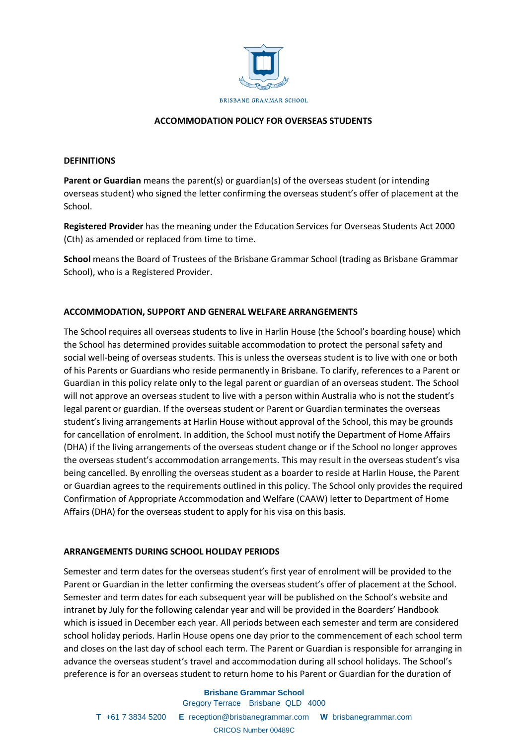

## **ACCOMMODATION POLICY FOR OVERSEAS STUDENTS**

#### **DEFINITIONS**

**Parent or Guardian** means the parent(s) or guardian(s) of the overseas student (or intending overseas student) who signed the letter confirming the overseas student's offer of placement at the School.

**Registered Provider** has the meaning under the Education Services for Overseas Students Act 2000 (Cth) as amended or replaced from time to time.

**School** means the Board of Trustees of the Brisbane Grammar School (trading as Brisbane Grammar School), who is a Registered Provider.

### **ACCOMMODATION, SUPPORT AND GENERAL WELFARE ARRANGEMENTS**

The School requires all overseas students to live in Harlin House (the School's boarding house) which the School has determined provides suitable accommodation to protect the personal safety and social well‐being of overseas students. This is unless the overseas student is to live with one or both of his Parents or Guardians who reside permanently in Brisbane. To clarify, references to a Parent or Guardian in this policy relate only to the legal parent or guardian of an overseas student. The School will not approve an overseas student to live with a person within Australia who is not the student's legal parent or guardian. If the overseas student or Parent or Guardian terminates the overseas student's living arrangements at Harlin House without approval of the School, this may be grounds for cancellation of enrolment. In addition, the School must notify the Department of Home Affairs (DHA) if the living arrangements of the overseas student change or if the School no longer approves the overseas student's accommodation arrangements. This may result in the overseas student's visa being cancelled. By enrolling the overseas student as a boarder to reside at Harlin House, the Parent or Guardian agrees to the requirements outlined in this policy. The School only provides the required Confirmation of Appropriate Accommodation and Welfare (CAAW) letter to Department of Home Affairs (DHA) for the overseas student to apply for his visa on this basis.

### **ARRANGEMENTS DURING SCHOOL HOLIDAY PERIODS**

Semester and term dates for the overseas student's first year of enrolment will be provided to the Parent or Guardian in the letter confirming the overseas student's offer of placement at the School. Semester and term dates for each subsequent year will be published on the School's website and intranet by July for the following calendar year and will be provided in the Boarders' Handbook which is issued in December each year. All periods between each semester and term are considered school holiday periods. Harlin House opens one day prior to the commencement of each school term and closes on the last day of school each term. The Parent or Guardian is responsible for arranging in advance the overseas student's travel and accommodation during all school holidays. The School's preference is for an overseas student to return home to his Parent or Guardian for the duration of

# **Brisbane Grammar School** Gregory Terrace Brisbane QLD 4000 **T** +61 7 3834 5200 **E** reception@brisbanegrammar.com **W** brisbanegrammar.com

CRICOS Number 00489C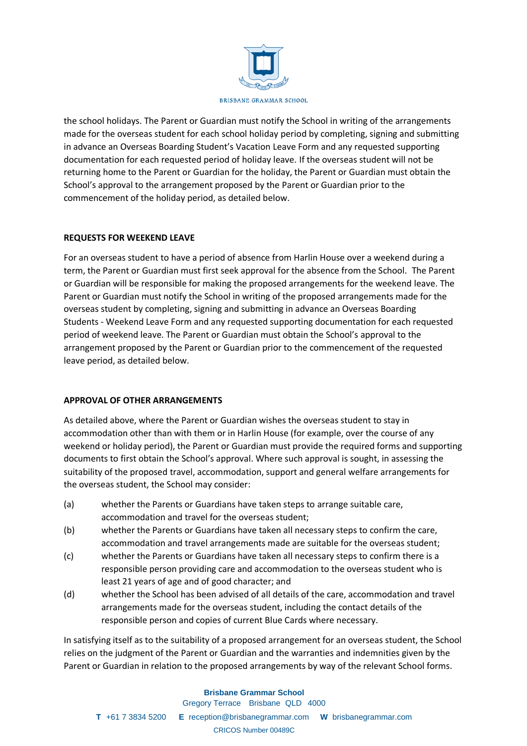

the school holidays. The Parent or Guardian must notify the School in writing of the arrangements made for the overseas student for each school holiday period by completing, signing and submitting in advance an Overseas Boarding Student's Vacation Leave Form and any requested supporting documentation for each requested period of holiday leave. If the overseas student will not be returning home to the Parent or Guardian for the holiday, the Parent or Guardian must obtain the School's approval to the arrangement proposed by the Parent or Guardian prior to the commencement of the holiday period, as detailed below.

## **REQUESTS FOR WEEKEND LEAVE**

For an overseas student to have a period of absence from Harlin House over a weekend during a term, the Parent or Guardian must first seek approval for the absence from the School. The Parent or Guardian will be responsible for making the proposed arrangements for the weekend leave. The Parent or Guardian must notify the School in writing of the proposed arrangements made for the overseas student by completing, signing and submitting in advance an Overseas Boarding Students ‐ Weekend Leave Form and any requested supporting documentation for each requested period of weekend leave. The Parent or Guardian must obtain the School's approval to the arrangement proposed by the Parent or Guardian prior to the commencement of the requested leave period, as detailed below.

### **APPROVAL OF OTHER ARRANGEMENTS**

As detailed above, where the Parent or Guardian wishes the overseas student to stay in accommodation other than with them or in Harlin House (for example, over the course of any weekend or holiday period), the Parent or Guardian must provide the required forms and supporting documents to first obtain the School's approval. Where such approval is sought, in assessing the suitability of the proposed travel, accommodation, support and general welfare arrangements for the overseas student, the School may consider:

- (a) whether the Parents or Guardians have taken steps to arrange suitable care, accommodation and travel for the overseas student;
- (b) whether the Parents or Guardians have taken all necessary steps to confirm the care, accommodation and travel arrangements made are suitable for the overseas student;
- (c) whether the Parents or Guardians have taken all necessary steps to confirm there is a responsible person providing care and accommodation to the overseas student who is least 21 years of age and of good character; and
- (d) whether the School has been advised of all details of the care, accommodation and travel arrangements made for the overseas student, including the contact details of the responsible person and copies of current Blue Cards where necessary.

In satisfying itself as to the suitability of a proposed arrangement for an overseas student, the School relies on the judgment of the Parent or Guardian and the warranties and indemnities given by the Parent or Guardian in relation to the proposed arrangements by way of the relevant School forms.